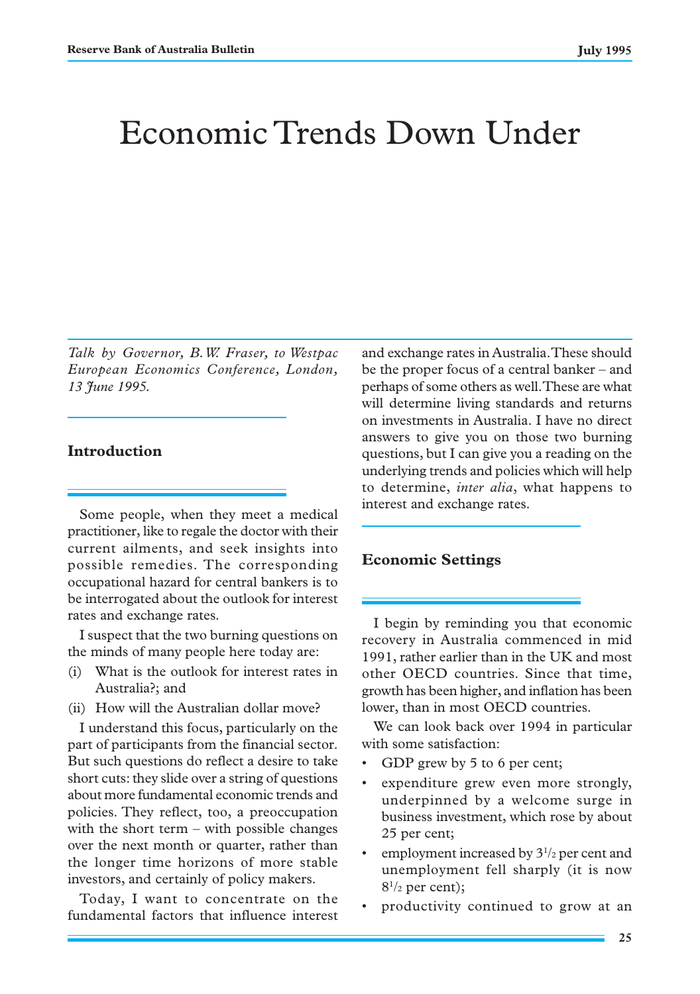# Economic Trends Down Under

*Talk by Governor, B.W. Fraser, to Westpac European Economics Conference, London, 13 June 1995.*

#### **Introduction**

Some people, when they meet a medical practitioner, like to regale the doctor with their current ailments, and seek insights into possible remedies. The corresponding occupational hazard for central bankers is to be interrogated about the outlook for interest rates and exchange rates.

I suspect that the two burning questions on the minds of many people here today are:

- (i) What is the outlook for interest rates in Australia?; and
- (ii) How will the Australian dollar move?

I understand this focus, particularly on the part of participants from the financial sector. But such questions do reflect a desire to take short cuts: they slide over a string of questions about more fundamental economic trends and policies. They reflect, too, a preoccupation with the short term – with possible changes over the next month or quarter, rather than the longer time horizons of more stable investors, and certainly of policy makers.

Today, I want to concentrate on the fundamental factors that influence interest and exchange rates in Australia. These should be the proper focus of a central banker – and perhaps of some others as well. These are what will determine living standards and returns on investments in Australia. I have no direct answers to give you on those two burning questions, but I can give you a reading on the underlying trends and policies which will help to determine, *inter alia*, what happens to interest and exchange rates.

# **Economic Settings**

I begin by reminding you that economic recovery in Australia commenced in mid 1991, rather earlier than in the UK and most other OECD countries. Since that time, growth has been higher, and inflation has been lower, than in most OECD countries.

We can look back over 1994 in particular with some satisfaction:

- GDP grew by 5 to 6 per cent;
- expenditure grew even more strongly, underpinned by a welcome surge in business investment, which rose by about 25 per cent;
- employment increased by  $3^{1/2}$  per cent and unemployment fell sharply (it is now  $8^{1/2}$  per cent);
- productivity continued to grow at an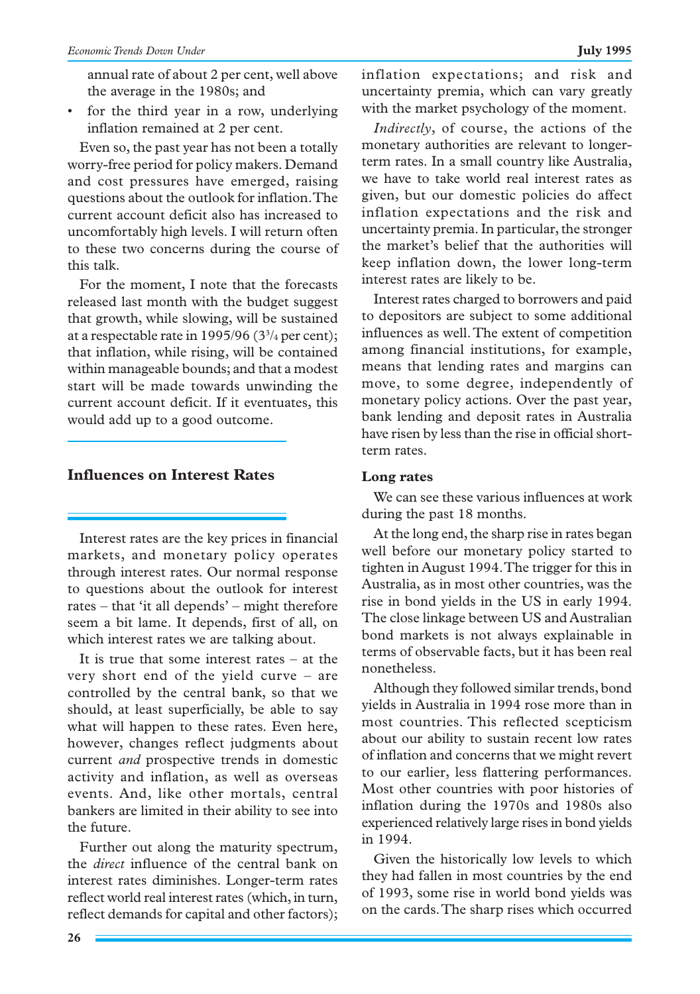annual rate of about 2 per cent, well above the average in the 1980s; and

• for the third year in a row, underlying inflation remained at 2 per cent.

Even so, the past year has not been a totally worry-free period for policy makers. Demand and cost pressures have emerged, raising questions about the outlook for inflation. The current account deficit also has increased to uncomfortably high levels. I will return often to these two concerns during the course of this talk.

For the moment, I note that the forecasts released last month with the budget suggest that growth, while slowing, will be sustained at a respectable rate in 1995/96  $(3<sup>3</sup>/4$  per cent); that inflation, while rising, will be contained within manageable bounds; and that a modest start will be made towards unwinding the current account deficit. If it eventuates, this would add up to a good outcome.

# **Influences on Interest Rates**

Interest rates are the key prices in financial markets, and monetary policy operates through interest rates. Our normal response to questions about the outlook for interest rates – that 'it all depends' – might therefore seem a bit lame. It depends, first of all, on which interest rates we are talking about.

It is true that some interest rates – at the very short end of the yield curve – are controlled by the central bank, so that we should, at least superficially, be able to say what will happen to these rates. Even here, however, changes reflect judgments about current *and* prospective trends in domestic activity and inflation, as well as overseas events. And, like other mortals, central bankers are limited in their ability to see into the future.

Further out along the maturity spectrum, the *direct* influence of the central bank on interest rates diminishes. Longer-term rates reflect world real interest rates (which, in turn, reflect demands for capital and other factors); inflation expectations; and risk and uncertainty premia, which can vary greatly with the market psychology of the moment.

*Indirectly*, of course, the actions of the monetary authorities are relevant to longerterm rates. In a small country like Australia, we have to take world real interest rates as given, but our domestic policies do affect inflation expectations and the risk and uncertainty premia. In particular, the stronger the market's belief that the authorities will keep inflation down, the lower long-term interest rates are likely to be.

Interest rates charged to borrowers and paid to depositors are subject to some additional influences as well. The extent of competition among financial institutions, for example, means that lending rates and margins can move, to some degree, independently of monetary policy actions. Over the past year, bank lending and deposit rates in Australia have risen by less than the rise in official shortterm rates.

#### **Long rates**

We can see these various influences at work during the past 18 months.

At the long end, the sharp rise in rates began well before our monetary policy started to tighten in August 1994. The trigger for this in Australia, as in most other countries, was the rise in bond yields in the US in early 1994. The close linkage between US and Australian bond markets is not always explainable in terms of observable facts, but it has been real nonetheless.

Although they followed similar trends, bond yields in Australia in 1994 rose more than in most countries. This reflected scepticism about our ability to sustain recent low rates of inflation and concerns that we might revert to our earlier, less flattering performances. Most other countries with poor histories of inflation during the 1970s and 1980s also experienced relatively large rises in bond yields in 1994.

Given the historically low levels to which they had fallen in most countries by the end of 1993, some rise in world bond yields was on the cards. The sharp rises which occurred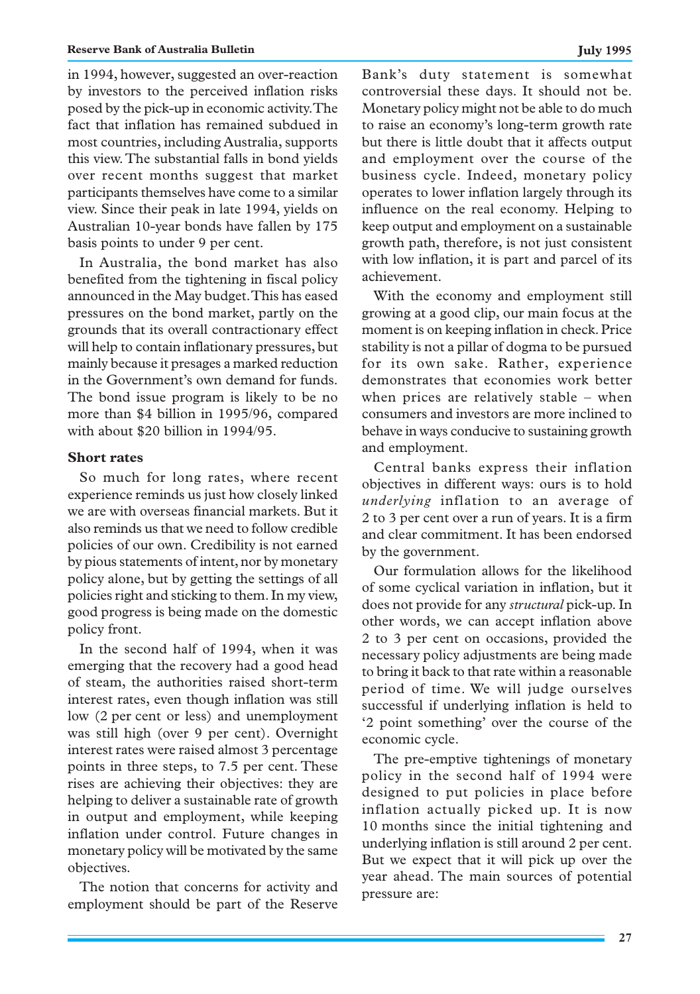in 1994, however, suggested an over-reaction by investors to the perceived inflation risks posed by the pick-up in economic activity. The fact that inflation has remained subdued in most countries, including Australia, supports this view. The substantial falls in bond yields over recent months suggest that market participants themselves have come to a similar view. Since their peak in late 1994, yields on Australian 10-year bonds have fallen by 175 basis points to under 9 per cent.

In Australia, the bond market has also benefited from the tightening in fiscal policy announced in the May budget. This has eased pressures on the bond market, partly on the grounds that its overall contractionary effect will help to contain inflationary pressures, but mainly because it presages a marked reduction in the Government's own demand for funds. The bond issue program is likely to be no more than \$4 billion in 1995/96, compared with about \$20 billion in 1994/95.

#### **Short rates**

So much for long rates, where recent experience reminds us just how closely linked we are with overseas financial markets. But it also reminds us that we need to follow credible policies of our own. Credibility is not earned by pious statements of intent, nor by monetary policy alone, but by getting the settings of all policies right and sticking to them. In my view, good progress is being made on the domestic policy front.

In the second half of 1994, when it was emerging that the recovery had a good head of steam, the authorities raised short-term interest rates, even though inflation was still low (2 per cent or less) and unemployment was still high (over 9 per cent). Overnight interest rates were raised almost 3 percentage points in three steps, to 7.5 per cent. These rises are achieving their objectives: they are helping to deliver a sustainable rate of growth in output and employment, while keeping inflation under control. Future changes in monetary policy will be motivated by the same objectives.

The notion that concerns for activity and employment should be part of the Reserve

controversial these days. It should not be. Monetary policy might not be able to do much to raise an economy's long-term growth rate but there is little doubt that it affects output and employment over the course of the business cycle. Indeed, monetary policy operates to lower inflation largely through its influence on the real economy. Helping to keep output and employment on a sustainable growth path, therefore, is not just consistent with low inflation, it is part and parcel of its achievement.

With the economy and employment still growing at a good clip, our main focus at the moment is on keeping inflation in check. Price stability is not a pillar of dogma to be pursued for its own sake. Rather, experience demonstrates that economies work better when prices are relatively stable – when consumers and investors are more inclined to behave in ways conducive to sustaining growth and employment.

Central banks express their inflation objectives in different ways: ours is to hold *underlying* inflation to an average of 2 to 3 per cent over a run of years. It is a firm and clear commitment. It has been endorsed by the government.

Our formulation allows for the likelihood of some cyclical variation in inflation, but it does not provide for any *structural* pick-up. In other words, we can accept inflation above 2 to 3 per cent on occasions, provided the necessary policy adjustments are being made to bring it back to that rate within a reasonable period of time. We will judge ourselves successful if underlying inflation is held to '2 point something' over the course of the economic cycle.

The pre-emptive tightenings of monetary policy in the second half of 1994 were designed to put policies in place before inflation actually picked up. It is now 10 months since the initial tightening and underlying inflation is still around 2 per cent. But we expect that it will pick up over the year ahead. The main sources of potential pressure are: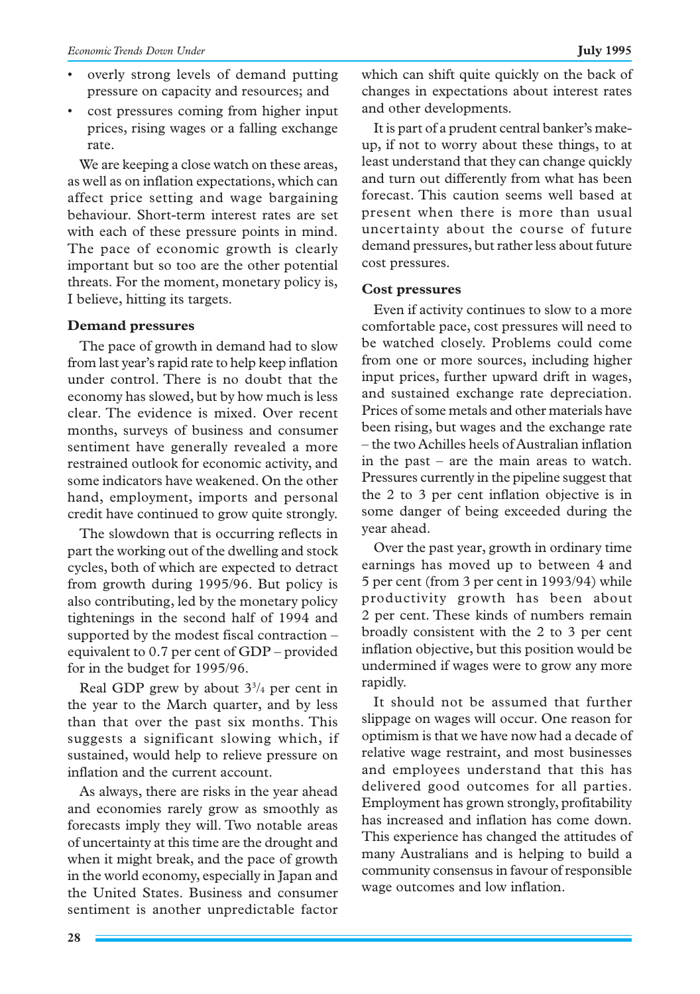- overly strong levels of demand putting pressure on capacity and resources; and
- cost pressures coming from higher input prices, rising wages or a falling exchange rate.

We are keeping a close watch on these areas, as well as on inflation expectations, which can affect price setting and wage bargaining behaviour. Short-term interest rates are set with each of these pressure points in mind. The pace of economic growth is clearly important but so too are the other potential threats. For the moment, monetary policy is, I believe, hitting its targets.

# **Demand pressures**

The pace of growth in demand had to slow from last year's rapid rate to help keep inflation under control. There is no doubt that the economy has slowed, but by how much is less clear. The evidence is mixed. Over recent months, surveys of business and consumer sentiment have generally revealed a more restrained outlook for economic activity, and some indicators have weakened. On the other hand, employment, imports and personal credit have continued to grow quite strongly.

The slowdown that is occurring reflects in part the working out of the dwelling and stock cycles, both of which are expected to detract from growth during 1995/96. But policy is also contributing, led by the monetary policy tightenings in the second half of 1994 and supported by the modest fiscal contraction – equivalent to 0.7 per cent of GDP – provided for in the budget for 1995/96.

Real GDP grew by about  $3^{3}/_{4}$  per cent in the year to the March quarter, and by less than that over the past six months. This suggests a significant slowing which, if sustained, would help to relieve pressure on inflation and the current account.

As always, there are risks in the year ahead and economies rarely grow as smoothly as forecasts imply they will. Two notable areas of uncertainty at this time are the drought and when it might break, and the pace of growth in the world economy, especially in Japan and the United States. Business and consumer sentiment is another unpredictable factor which can shift quite quickly on the back of changes in expectations about interest rates and other developments.

It is part of a prudent central banker's makeup, if not to worry about these things, to at least understand that they can change quickly and turn out differently from what has been forecast. This caution seems well based at present when there is more than usual uncertainty about the course of future demand pressures, but rather less about future cost pressures.

#### **Cost pressures**

Even if activity continues to slow to a more comfortable pace, cost pressures will need to be watched closely. Problems could come from one or more sources, including higher input prices, further upward drift in wages, and sustained exchange rate depreciation. Prices of some metals and other materials have been rising, but wages and the exchange rate – the two Achilles heels of Australian inflation in the past – are the main areas to watch. Pressures currently in the pipeline suggest that the 2 to 3 per cent inflation objective is in some danger of being exceeded during the year ahead.

Over the past year, growth in ordinary time earnings has moved up to between 4 and 5 per cent (from 3 per cent in 1993/94) while productivity growth has been about 2 per cent. These kinds of numbers remain broadly consistent with the 2 to 3 per cent inflation objective, but this position would be undermined if wages were to grow any more rapidly.

It should not be assumed that further slippage on wages will occur. One reason for optimism is that we have now had a decade of relative wage restraint, and most businesses and employees understand that this has delivered good outcomes for all parties. Employment has grown strongly, profitability has increased and inflation has come down. This experience has changed the attitudes of many Australians and is helping to build a community consensus in favour of responsible wage outcomes and low inflation.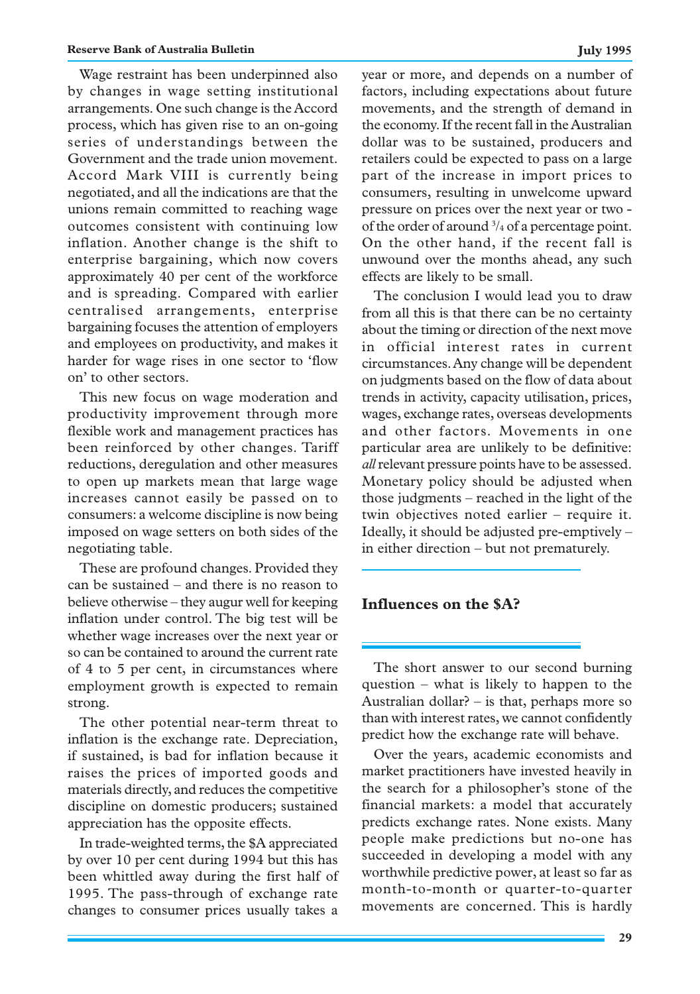Wage restraint has been underpinned also by changes in wage setting institutional arrangements. One such change is the Accord process, which has given rise to an on-going series of understandings between the Government and the trade union movement. Accord Mark VIII is currently being negotiated, and all the indications are that the unions remain committed to reaching wage outcomes consistent with continuing low inflation. Another change is the shift to enterprise bargaining, which now covers approximately 40 per cent of the workforce and is spreading. Compared with earlier centralised arrangements, enterprise bargaining focuses the attention of employers and employees on productivity, and makes it harder for wage rises in one sector to 'flow on' to other sectors.

This new focus on wage moderation and productivity improvement through more flexible work and management practices has been reinforced by other changes. Tariff reductions, deregulation and other measures to open up markets mean that large wage increases cannot easily be passed on to consumers: a welcome discipline is now being imposed on wage setters on both sides of the negotiating table.

These are profound changes. Provided they can be sustained – and there is no reason to believe otherwise – they augur well for keeping inflation under control. The big test will be whether wage increases over the next year or so can be contained to around the current rate of 4 to 5 per cent, in circumstances where employment growth is expected to remain strong.

The other potential near-term threat to inflation is the exchange rate. Depreciation, if sustained, is bad for inflation because it raises the prices of imported goods and materials directly, and reduces the competitive discipline on domestic producers; sustained appreciation has the opposite effects.

In trade-weighted terms, the \$A appreciated by over 10 per cent during 1994 but this has been whittled away during the first half of 1995. The pass-through of exchange rate changes to consumer prices usually takes a year or more, and depends on a number of factors, including expectations about future movements, and the strength of demand in the economy. If the recent fall in the Australian dollar was to be sustained, producers and retailers could be expected to pass on a large part of the increase in import prices to consumers, resulting in unwelcome upward pressure on prices over the next year or two of the order of around  $\frac{3}{4}$  of a percentage point. On the other hand, if the recent fall is unwound over the months ahead, any such effects are likely to be small.

The conclusion I would lead you to draw from all this is that there can be no certainty about the timing or direction of the next move in official interest rates in current circumstances. Any change will be dependent on judgments based on the flow of data about trends in activity, capacity utilisation, prices, wages, exchange rates, overseas developments and other factors. Movements in one particular area are unlikely to be definitive: *all*relevant pressure points have to be assessed. Monetary policy should be adjusted when those judgments – reached in the light of the twin objectives noted earlier – require it. Ideally, it should be adjusted pre-emptively – in either direction – but not prematurely.

# **Influences on the \$A?**

The short answer to our second burning question – what is likely to happen to the Australian dollar? – is that, perhaps more so than with interest rates, we cannot confidently predict how the exchange rate will behave.

Over the years, academic economists and market practitioners have invested heavily in the search for a philosopher's stone of the financial markets: a model that accurately predicts exchange rates. None exists. Many people make predictions but no-one has succeeded in developing a model with any worthwhile predictive power, at least so far as month-to-month or quarter-to-quarter movements are concerned. This is hardly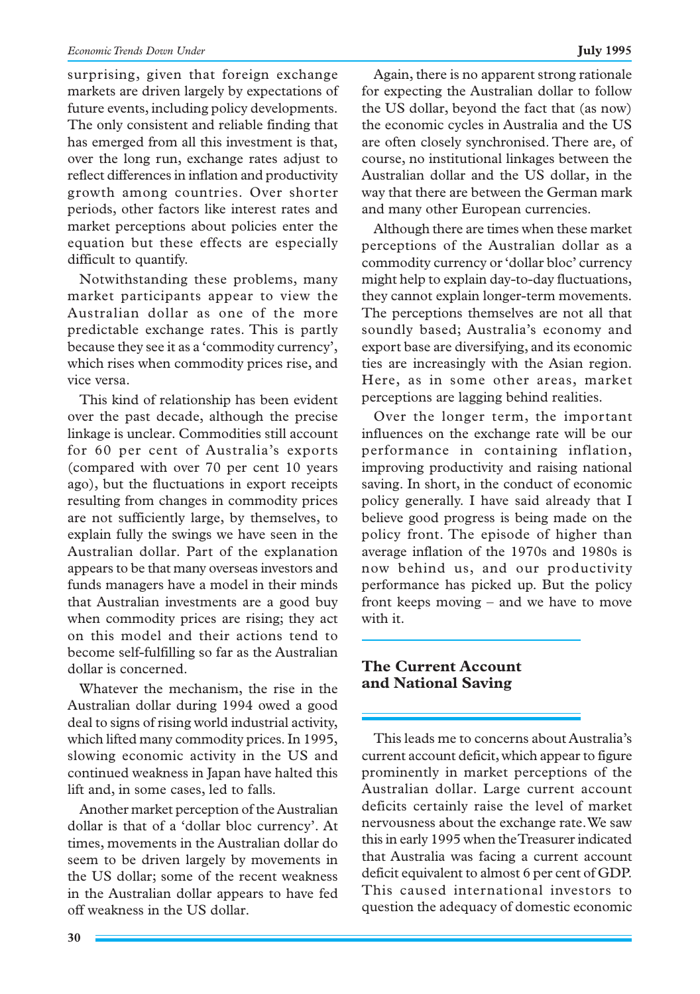surprising, given that foreign exchange markets are driven largely by expectations of future events, including policy developments. The only consistent and reliable finding that has emerged from all this investment is that, over the long run, exchange rates adjust to reflect differences in inflation and productivity growth among countries. Over shorter periods, other factors like interest rates and market perceptions about policies enter the equation but these effects are especially difficult to quantify.

Notwithstanding these problems, many market participants appear to view the Australian dollar as one of the more predictable exchange rates. This is partly because they see it as a 'commodity currency', which rises when commodity prices rise, and vice versa.

This kind of relationship has been evident over the past decade, although the precise linkage is unclear. Commodities still account for 60 per cent of Australia's exports (compared with over 70 per cent 10 years ago), but the fluctuations in export receipts resulting from changes in commodity prices are not sufficiently large, by themselves, to explain fully the swings we have seen in the Australian dollar. Part of the explanation appears to be that many overseas investors and funds managers have a model in their minds that Australian investments are a good buy when commodity prices are rising; they act on this model and their actions tend to become self-fulfilling so far as the Australian dollar is concerned.

Whatever the mechanism, the rise in the Australian dollar during 1994 owed a good deal to signs of rising world industrial activity, which lifted many commodity prices. In 1995, slowing economic activity in the US and continued weakness in Japan have halted this lift and, in some cases, led to falls.

Another market perception of the Australian dollar is that of a 'dollar bloc currency'. At times, movements in the Australian dollar do seem to be driven largely by movements in the US dollar; some of the recent weakness in the Australian dollar appears to have fed off weakness in the US dollar.

Again, there is no apparent strong rationale for expecting the Australian dollar to follow the US dollar, beyond the fact that (as now) the economic cycles in Australia and the US are often closely synchronised. There are, of course, no institutional linkages between the Australian dollar and the US dollar, in the way that there are between the German mark and many other European currencies.

Although there are times when these market perceptions of the Australian dollar as a commodity currency or 'dollar bloc' currency might help to explain day-to-day fluctuations, they cannot explain longer-term movements. The perceptions themselves are not all that soundly based; Australia's economy and export base are diversifying, and its economic ties are increasingly with the Asian region. Here, as in some other areas, market perceptions are lagging behind realities.

Over the longer term, the important influences on the exchange rate will be our performance in containing inflation, improving productivity and raising national saving. In short, in the conduct of economic policy generally. I have said already that I believe good progress is being made on the policy front. The episode of higher than average inflation of the 1970s and 1980s is now behind us, and our productivity performance has picked up. But the policy front keeps moving – and we have to move with it.

# **The Current Account and National Saving**

This leads me to concerns about Australia's current account deficit, which appear to figure prominently in market perceptions of the Australian dollar. Large current account deficits certainly raise the level of market nervousness about the exchange rate. We saw this in early 1995 when the Treasurer indicated that Australia was facing a current account deficit equivalent to almost 6 per cent of GDP. This caused international investors to question the adequacy of domestic economic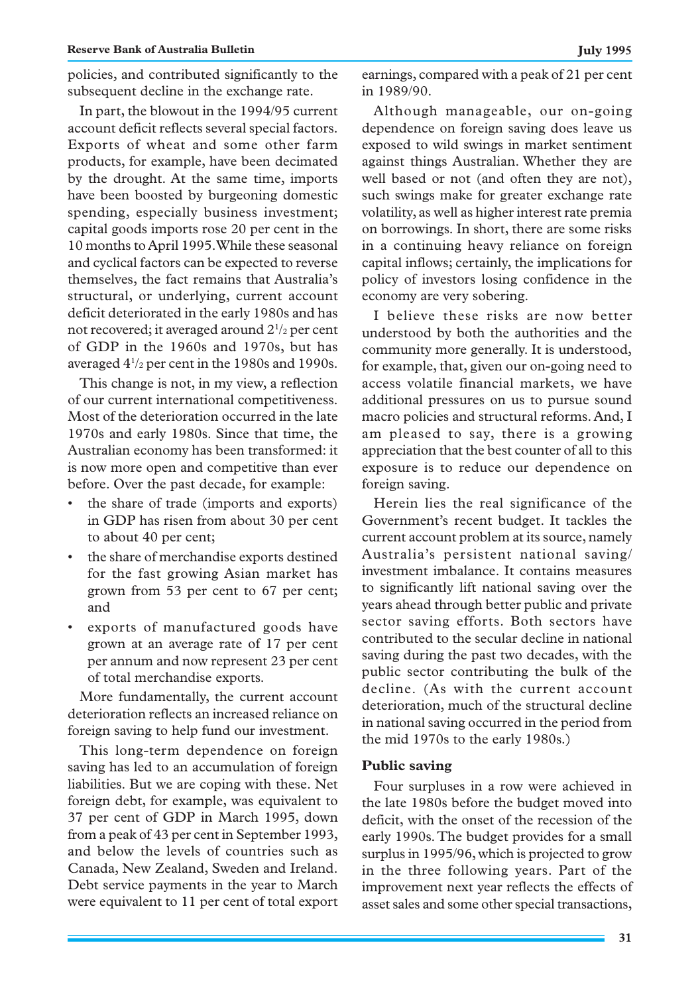policies, and contributed significantly to the subsequent decline in the exchange rate.

In part, the blowout in the 1994/95 current account deficit reflects several special factors. Exports of wheat and some other farm products, for example, have been decimated by the drought. At the same time, imports have been boosted by burgeoning domestic spending, especially business investment; capital goods imports rose 20 per cent in the 10 months to April 1995. While these seasonal and cyclical factors can be expected to reverse themselves, the fact remains that Australia's structural, or underlying, current account deficit deteriorated in the early 1980s and has not recovered; it averaged around  $2^{1/2}$  per cent of GDP in the 1960s and 1970s, but has averaged 41 /2 per cent in the 1980s and 1990s.

This change is not, in my view, a reflection of our current international competitiveness. Most of the deterioration occurred in the late 1970s and early 1980s. Since that time, the Australian economy has been transformed: it is now more open and competitive than ever before. Over the past decade, for example:

- the share of trade (imports and exports) in GDP has risen from about 30 per cent to about 40 per cent;
- the share of merchandise exports destined for the fast growing Asian market has grown from 53 per cent to 67 per cent; and
- exports of manufactured goods have grown at an average rate of 17 per cent per annum and now represent 23 per cent of total merchandise exports.

More fundamentally, the current account deterioration reflects an increased reliance on foreign saving to help fund our investment.

This long-term dependence on foreign saving has led to an accumulation of foreign liabilities. But we are coping with these. Net foreign debt, for example, was equivalent to 37 per cent of GDP in March 1995, down from a peak of 43 per cent in September 1993, and below the levels of countries such as Canada, New Zealand, Sweden and Ireland. Debt service payments in the year to March were equivalent to 11 per cent of total export earnings, compared with a peak of 21 per cent in 1989/90.

Although manageable, our on-going dependence on foreign saving does leave us exposed to wild swings in market sentiment against things Australian. Whether they are well based or not (and often they are not), such swings make for greater exchange rate volatility, as well as higher interest rate premia on borrowings. In short, there are some risks in a continuing heavy reliance on foreign capital inflows; certainly, the implications for policy of investors losing confidence in the economy are very sobering.

I believe these risks are now better understood by both the authorities and the community more generally. It is understood, for example, that, given our on-going need to access volatile financial markets, we have additional pressures on us to pursue sound macro policies and structural reforms. And, I am pleased to say, there is a growing appreciation that the best counter of all to this exposure is to reduce our dependence on foreign saving.

Herein lies the real significance of the Government's recent budget. It tackles the current account problem at its source, namely Australia's persistent national saving/ investment imbalance. It contains measures to significantly lift national saving over the years ahead through better public and private sector saving efforts. Both sectors have contributed to the secular decline in national saving during the past two decades, with the public sector contributing the bulk of the decline. (As with the current account deterioration, much of the structural decline in national saving occurred in the period from the mid 1970s to the early 1980s.)

#### **Public saving**

Four surpluses in a row were achieved in the late 1980s before the budget moved into deficit, with the onset of the recession of the early 1990s. The budget provides for a small surplus in 1995/96, which is projected to grow in the three following years. Part of the improvement next year reflects the effects of asset sales and some other special transactions,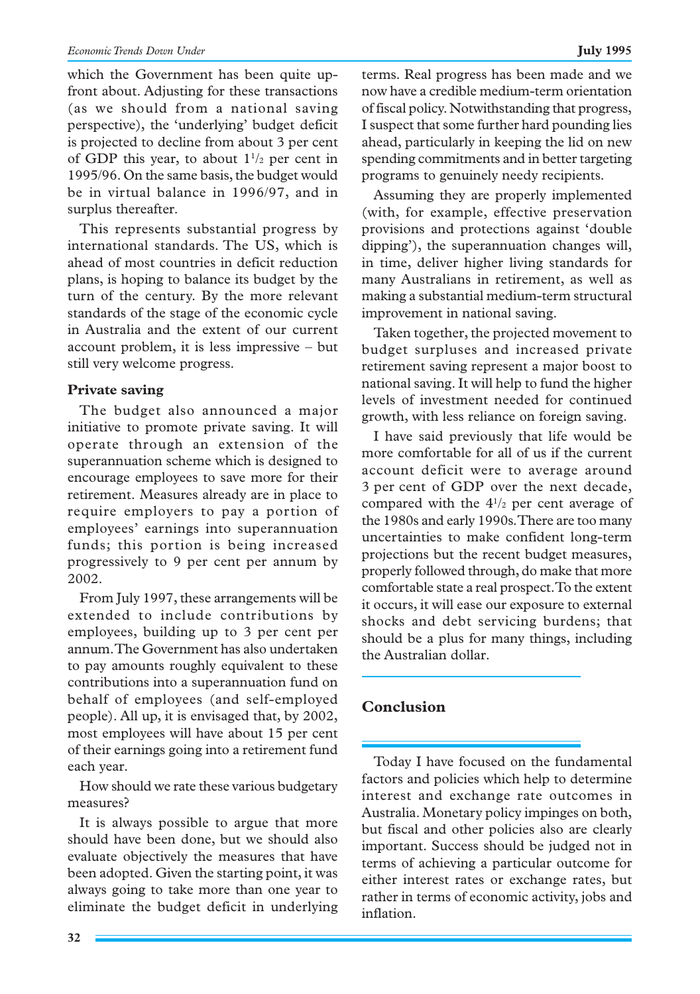which the Government has been quite upfront about. Adjusting for these transactions (as we should from a national saving perspective), the 'underlying' budget deficit is projected to decline from about 3 per cent of GDP this year, to about  $1\frac{1}{2}$  per cent in 1995/96. On the same basis, the budget would be in virtual balance in 1996/97, and in surplus thereafter.

This represents substantial progress by international standards. The US, which is ahead of most countries in deficit reduction plans, is hoping to balance its budget by the turn of the century. By the more relevant standards of the stage of the economic cycle in Australia and the extent of our current account problem, it is less impressive – but still very welcome progress.

# **Private saving**

The budget also announced a major initiative to promote private saving. It will operate through an extension of the superannuation scheme which is designed to encourage employees to save more for their retirement. Measures already are in place to require employers to pay a portion of employees' earnings into superannuation funds; this portion is being increased progressively to 9 per cent per annum by 2002.

From July 1997, these arrangements will be extended to include contributions by employees, building up to 3 per cent per annum. The Government has also undertaken to pay amounts roughly equivalent to these contributions into a superannuation fund on behalf of employees (and self-employed people). All up, it is envisaged that, by 2002, most employees will have about 15 per cent of their earnings going into a retirement fund each year.

How should we rate these various budgetary measures?

It is always possible to argue that more should have been done, but we should also evaluate objectively the measures that have been adopted. Given the starting point, it was always going to take more than one year to eliminate the budget deficit in underlying terms. Real progress has been made and we now have a credible medium-term orientation of fiscal policy. Notwithstanding that progress, I suspect that some further hard pounding lies ahead, particularly in keeping the lid on new spending commitments and in better targeting programs to genuinely needy recipients.

Assuming they are properly implemented (with, for example, effective preservation provisions and protections against 'double dipping'), the superannuation changes will, in time, deliver higher living standards for many Australians in retirement, as well as making a substantial medium-term structural improvement in national saving.

Taken together, the projected movement to budget surpluses and increased private retirement saving represent a major boost to national saving. It will help to fund the higher levels of investment needed for continued growth, with less reliance on foreign saving.

I have said previously that life would be more comfortable for all of us if the current account deficit were to average around 3 per cent of GDP over the next decade, compared with the  $4^{1/2}$  per cent average of the 1980s and early 1990s. There are too many uncertainties to make confident long-term projections but the recent budget measures, properly followed through, do make that more comfortable state a real prospect. To the extent it occurs, it will ease our exposure to external shocks and debt servicing burdens; that should be a plus for many things, including the Australian dollar.

# **Conclusion**

Today I have focused on the fundamental factors and policies which help to determine interest and exchange rate outcomes in Australia. Monetary policy impinges on both, but fiscal and other policies also are clearly important. Success should be judged not in terms of achieving a particular outcome for either interest rates or exchange rates, but rather in terms of economic activity, jobs and inflation.